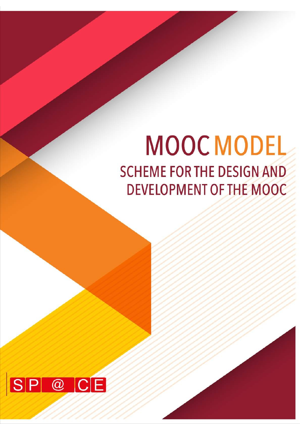# **MOOC MODEL SCHEME FOR THE DESIGN AND DEVELOPMENT OF THE MOOC**

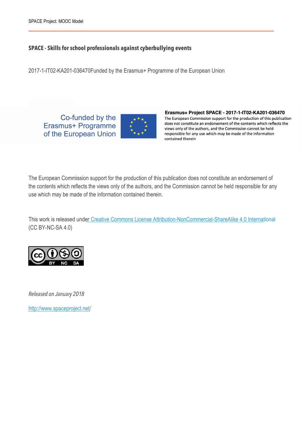#### **SPACE - Skills for school professionals against cyberbullying events**

2017-1-IT02-KA201-036470Funded by the Erasmus+ Programme of the European Union

Co-funded by the Erasmus+ Programme of the European Union



Erasmus+ Project SPACE - 2017-1-IT02-KA201-036470 The European Commission support for the production of this publication does not constitute an endorsement of the contents which reflects the views only of the authors, and the Commission cannot be held responsible for any use which may be made of the information contained therein

The European Commission support for the production of this publication does not constitute an endorsement of the contents which reflects the views only of the authors, and the Commission cannot be held responsible for any use which may be made of the information contained therein.

This work is released under Creative Commons License Attribution-NonCommercial-ShareAlike 4.0 International (CC BY-NC-SA 4.0)



*Released on January 2018* 

http://www.spaceproject.net/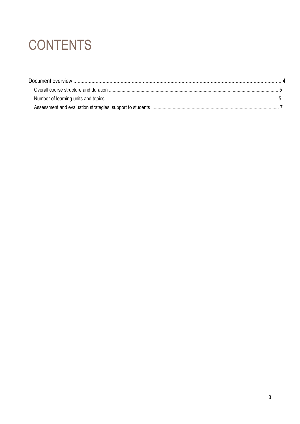## **CONTENTS**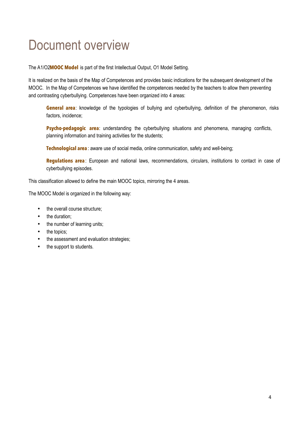## Document overview

The A1/O2**MOOC Model** is part of the first Intellectual Output, O1 Model Setting.

It is realized on the basis of the Map of Competences and provides basic indications for the subsequent development of the MOOC. In the Map of Competences we have identified the competences needed by the teachers to allow them preventing and contrasting cyberbullying. Competences have been organized into 4 areas:

**General area**: knowledge of the typologies of bullying and cyberbullying, definition of the phenomenon, risks factors, incidence;

**Psycho-pedagogic area:** understanding the cyberbullying situations and phenomena, managing conflicts, planning information and training activities for the students;

**Technological area** : aware use of social media, online communication, safety and well-being;

**Regulations area**: European and national laws, recommendations, circulars, institutions to contact in case of cyberbullying episodes.

This classification allowed to define the main MOOC topics, mirroring the 4 areas.

The MOOC Model is organized in the following way:

- the overall course structure;
- the duration:
- the number of learning units;
- the topics:
- the assessment and evaluation strategies;
- the support to students.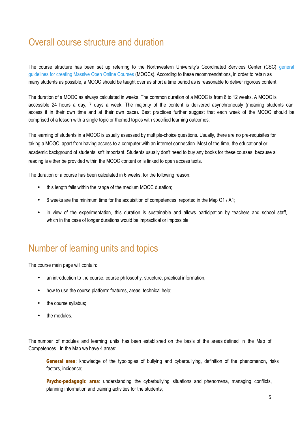## Overall course structure and duration

The course structure has been set up referring to the Northwestern University's Coordinated Services Center (CSC) general guidelines for creating Massive Open Online Courses (MOOCs). According to these recommendations, in order to retain as many students as possible, a MOOC should be taught over as short a time period as is reasonable to deliver rigorous content.

The duration of a MOOC as always calculated in weeks. The common duration of a MOOC is from 6 to 12 weeks. A MOOC is accessible 24 hours a day, 7 days a week. The majority of the content is delivered asynchronously (meaning students can access it in their own time and at their own pace). Best practices further suggest that each week of the MOOC should be comprised of a lesson with a single topic or themed topics with specified learning outcomes.

The learning of students in a MOOC is usually assessed by multiple-choice questions. Usually, there are no pre-requisites for taking a MOOC, apart from having access to a computer with an internet connection. Most of the time, the educational or academic background of students isn't important. Students usually don't need to buy any books for these courses, because all reading is either be provided within the MOOC content or is linked to open access texts.

The duration of a course has been calculated in 6 weeks, for the following reason:

- this length falls within the range of the medium MOOC duration;
- 6 weeks are the minimum time for the acquisition of competences reported in the Map O1 / A1;
- in view of the experimentation, this duration is sustainable and allows participation by teachers and school staff, which in the case of longer durations would be impractical or impossible.

### Number of learning units and topics

The course main page will contain:

- an introduction to the course: course philosophy, structure, practical information;
- how to use the course platform: features, areas, technical help;
- the course syllabus;
- the modules

The number of modules and learning units has been established on the basis of the areas defined in the Map of Competences. In the Map we have 4 areas:

**General area**: knowledge of the typologies of bullying and cyberbullying, definition of the phenomenon, risks factors, incidence;

**Psycho-pedagogic area**: understanding the cyberbullying situations and phenomena, managing conflicts, planning information and training activities for the students;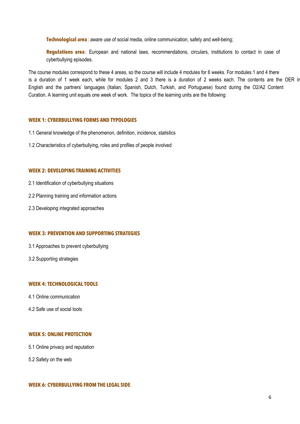**Technological area** : aware use of social media, online communication, safety and well-being;

**Regulations area**: European and national laws, recommendations, circulars, institutions to contact in case of cyberbullying episodes.

The course modules correspond to these 4 areas, so the course will include 4 modules for 6 weeks. For modules 1 and 4 there is a duration of 1 week each, while for modules 2 and 3 there is a duration of 2 weeks each. The contents are the OER in English and the partners' languages (Italian, Spanish, Dutch, Turkish, and Portuguese) found during the O2/A2 Content Curation. A learning unit equals one week of work. The topics of the learning units are the following:

#### **WEEK 1: CYBERBULLYING FORMS AND TYPOLOGIES**

- 1.1 General knowledge of the phenomenon, definition, incidence, statistics
- 1.2 Characteristics of cyberbullying, roles and profiles of people involved

#### **WEEK 2: DEVELOPING TRAINING ACTIVITIES**

- 2.1 Identification of cyberbullying situations
- 2.2 Planning training and information actions
- 2.3 Developing integrated approaches

#### **WEEK 3: PREVENTION AND SUPPORTING STRATEGIES**

- 3.1 Approaches to prevent cyberbullying
- 3.2 Supporting strategies

#### **WEEK 4: TECHNOLOGICAL TOOLS**

- 4.1 Online communication
- 4.2 Safe use of social tools

#### **WEEK 5: ONLINE PROTECTION**

- 5.1 Online privacy and reputation
- 5.2 Safety on the web

#### **WEEK 6: CYBERBULLYING FROM THE LEGAL SIDE**